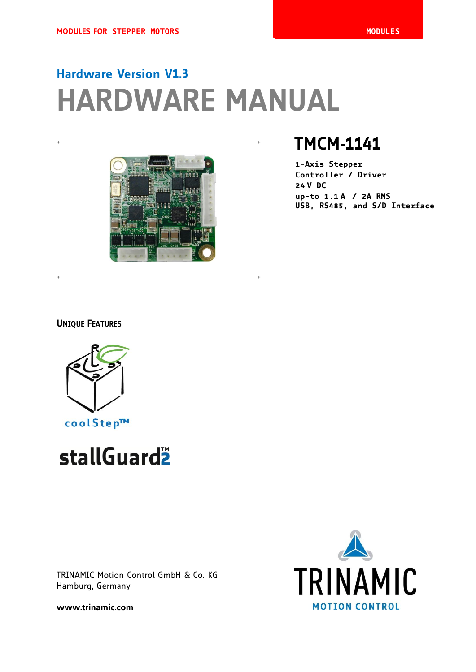# **Hardware Version V1.3 HARDWARE MANUAL**



 $+$  +  $+$  +  $+$  +  $+$  +  $+$  +  $+$  +  $+$  +  $+$  +  $+$  +  $+$  +  $+$  +  $+$  +  $+$  +  $+$  +  $+$  +  $+$  +  $+$  +  $+$  +  $+$  +  $+$  +  $+$  +  $+$  +  $+$  +  $+$  +  $+$  +  $+$  +  $+$  +  $+$  +  $+$  +  $+$  +  $+$  +  $+$  +  $+$  +  $+$  +  $+$  +  $+$  +  $+$  +

## <sup>+</sup> <sup>+</sup> **TMCM-1141**

**1-Axis Stepper Controller / Driver 24 V DC up-to 1.1 A / 2A RMS USB, RS485, and S/D Interface**

## **UNIQUE FEATURES**



# stallGuard<sup>2</sup>

TRINAMIC Motion Control GmbH & Co. KG Hamburg, Germany

**TRINAMIC MOTION CONTROL** 

**www.trinamic.com**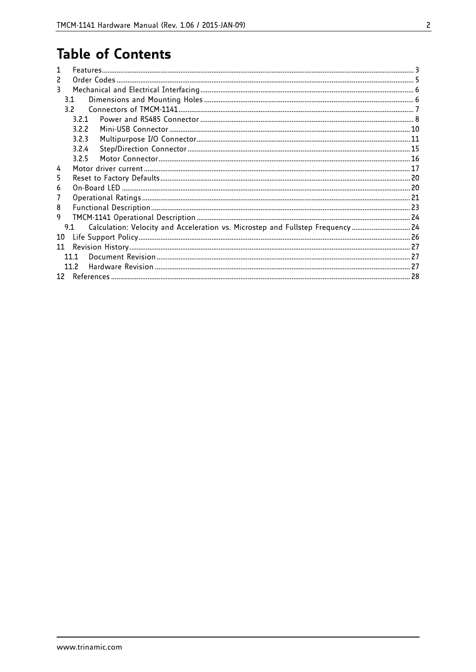## **Table of Contents**

| 2                                                                                     |  |
|---------------------------------------------------------------------------------------|--|
| 3                                                                                     |  |
| 31                                                                                    |  |
| 32                                                                                    |  |
| 321                                                                                   |  |
| 322                                                                                   |  |
| 323                                                                                   |  |
| 3.2.4                                                                                 |  |
| 3.2.5                                                                                 |  |
| 4                                                                                     |  |
| 5                                                                                     |  |
| 6                                                                                     |  |
| 7                                                                                     |  |
| 8                                                                                     |  |
| 9                                                                                     |  |
| Calculation: Velocity and Acceleration vs. Microstep and Fullstep Frequency 24<br>9.1 |  |
| 10                                                                                    |  |
| 11                                                                                    |  |
| 1111                                                                                  |  |
| 11.2                                                                                  |  |
|                                                                                       |  |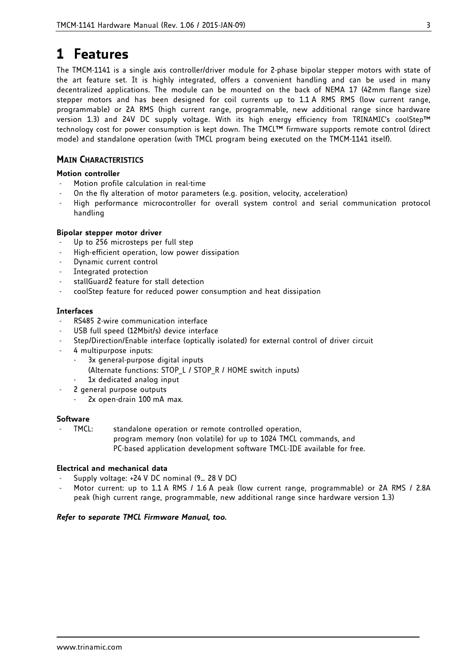## **1 Features**

The TMCM-1141 is a single axis controller/driver module for 2-phase bipolar stepper motors with state of the art feature set. It is highly integrated, offers a convenient handling and can be used in many decentralized applications. The module can be mounted on the back of NEMA 17 (42mm flange size) stepper motors and has been designed for coil currents up to 1.1 A RMS RMS (low current range, programmable) or 2A RMS (high current range, programmable, new additional range since hardware version 1.3) and 24V DC supply voltage. With its high energy efficiency from TRINAMIC's coolStep™ technology cost for power consumption is kept down. The TMCL™ firmware supports remote control (direct mode) and standalone operation (with TMCL program being executed on the TMCM-1141 itself).

## **MAIN CHARACTERISTICS**

### **Motion controller**

- Motion profile calculation in real-time
- On the fly alteration of motor parameters (e.g. position, velocity, acceleration)
- High performance microcontroller for overall system control and serial communication protocol handling

### **Bipolar stepper motor driver**

- Up to 256 microsteps per full step
- High-efficient operation, low power dissipation
- Dynamic current control
- Integrated protection
- stallGuard2 feature for stall detection
- coolStep feature for reduced power consumption and heat dissipation

### **Interfaces**

- RS485 2-wire communication interface
- USB full speed (12Mbit/s) device interface
- Step/Direction/Enable interface (optically isolated) for external control of driver circuit
- 4 multipurpose inputs:
	- 3x general-purpose digital inputs
		- (Alternate functions: STOP\_L / STOP\_R / HOME switch inputs)
		- 1x dedicated analog input
	- 2 general purpose outputs
	- 2x open-drain 100 mA max.

### **Software**

TMCL: standalone operation or remote controlled operation, program memory (non volatile) for up to 1024 TMCL commands, and PC-based application development software TMCL-IDE available for free.

### **Electrical and mechanical data**

- Supply voltage: +24 V DC nominal (9… 28 V DC)
- Motor current: up to 1.1 A RMS / 1.6 A peak (low current range, programmable) or 2A RMS / 2.8A peak (high current range, programmable, new additional range since hardware version 1.3)

### *Refer to separate TMCL Firmware Manual, too.*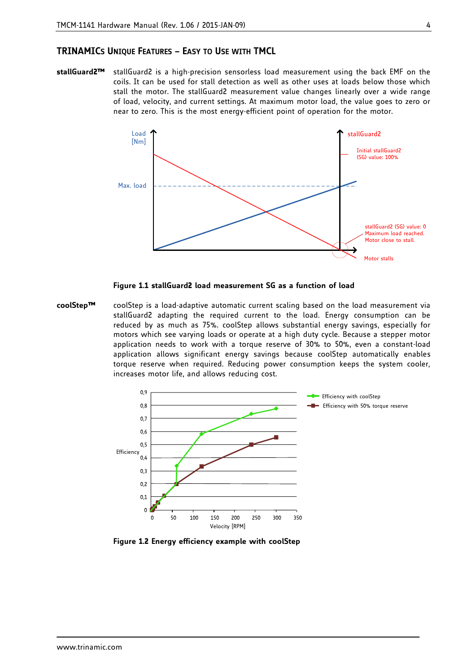#### **TRINAMICS UNIQUE FEATURES – EASY TO USE WITH TMCL**

**stallGuard2™** stallGuard2 is a high-precision sensorless load measurement using the back EMF on the coils. It can be used for stall detection as well as other uses at loads below those which stall the motor. The stallGuard2 measurement value changes linearly over a wide range of load, velocity, and current settings. At maximum motor load, the value goes to zero or near to zero. This is the most energy-efficient point of operation for the motor.



#### **Figure 1.1 stallGuard2 load measurement SG as a function of load**

**coolStep™** coolStep is a load-adaptive automatic current scaling based on the load measurement via stallGuard2 adapting the required current to the load. Energy consumption can be reduced by as much as 75%. coolStep allows substantial energy savings, especially for motors which see varying loads or operate at a high duty cycle. Because a stepper motor application needs to work with a torque reserve of 30% to 50%, even a constant-load application allows significant energy savings because coolStep automatically enables torque reserve when required. Reducing power consumption keeps the system cooler, increases motor life, and allows reducing cost.



**Figure 1.2 Energy efficiency example with coolStep**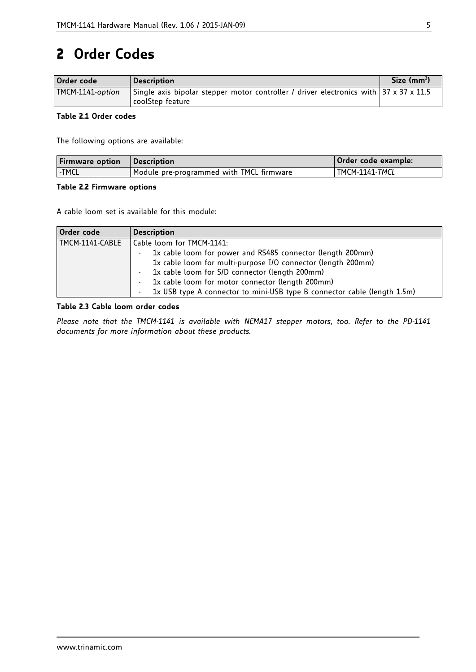## **2 Order Codes**

| Order code       | <b>Description</b>                                                                    | Size (mm <sup>3</sup> ) |
|------------------|---------------------------------------------------------------------------------------|-------------------------|
| TMCM-1141-option | Single axis bipolar stepper motor controller / driver electronics with 37 x 37 x 11.5 |                         |
|                  | coolStep feature                                                                      |                         |

### **Table 2.1 Order codes**

The following options are available:

| <b>Firmware option</b> | <i><b>Description</b></i>                | Order code example:   |
|------------------------|------------------------------------------|-----------------------|
| -TMCL                  | Module pre-programmed with TMCL firmware | <b>TMCM-1141-TMCL</b> |

### **Table 2.2 Firmware options**

A cable loom set is available for this module:

| Order code      | <b>Description</b>                                                       |  |  |  |
|-----------------|--------------------------------------------------------------------------|--|--|--|
| TMCM-1141-CABLE | Cable loom for TMCM-1141:                                                |  |  |  |
|                 | 1x cable loom for power and RS485 connector (length 200mm)               |  |  |  |
|                 | 1x cable loom for multi-purpose I/O connector (length 200mm)             |  |  |  |
|                 | 1x cable loom for S/D connector (length 200mm)                           |  |  |  |
|                 | 1x cable loom for motor connector (length 200mm)                         |  |  |  |
|                 | 1x USB type A connector to mini-USB type B connector cable (length 1.5m) |  |  |  |

### **Table 2.3 Cable loom order codes**

*Please note that the TMCM-1141 is available with NEMA17 stepper motors, too. Refer to the PD-1141 documents for more information about these products.*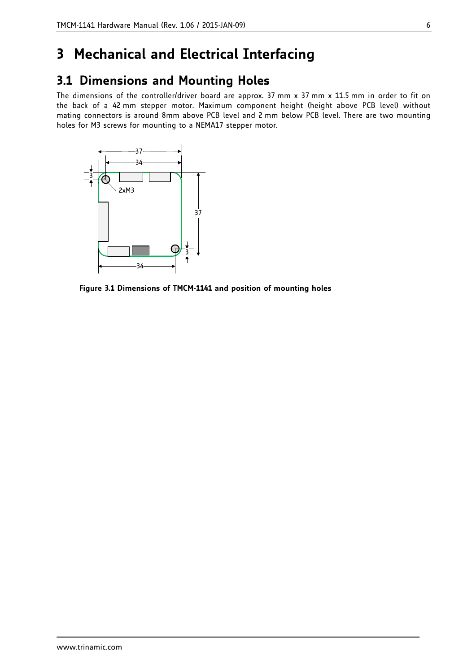## **3 Mechanical and Electrical Interfacing**

## **3.1 Dimensions and Mounting Holes**

The dimensions of the controller/driver board are approx. 37 mm x 37 mm x 11.5 mm in order to fit on the back of a 42 mm stepper motor. Maximum component height (height above PCB level) without mating connectors is around 8mm above PCB level and 2 mm below PCB level. There are two mounting holes for M3 screws for mounting to a NEMA17 stepper motor.



**Figure 3.1 Dimensions of TMCM-1141 and position of mounting holes**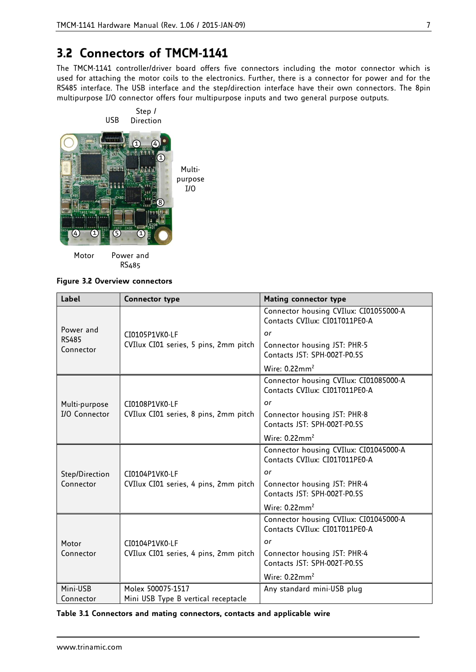## **3.2 Connectors of TMCM-1141**

The TMCM-1141 controller/driver board offers five connectors including the motor connector which is used for attaching the motor coils to the electronics. Further, there is a connector for power and for the RS485 interface. The USB interface and the step/direction interface have their own connectors. The 8pin multipurpose I/O connector offers four multipurpose inputs and two general purpose outputs.



**Figure 3.2 Overview connectors**

| Label                     | <b>Connector type</b>                 | <b>Mating connector type</b>                                             |
|---------------------------|---------------------------------------|--------------------------------------------------------------------------|
|                           |                                       | Connector housing CVIlux: CI01055000-A<br>Contacts CVIlux: CI01T011PE0-A |
| Power and                 | CI0105P1VK0-LF                        | or                                                                       |
| <b>RS485</b><br>Connector | CVIlux CI01 series, 5 pins, 2mm pitch | Connector housing JST: PHR-5<br>Contacts JST: SPH-002T-P0.5S             |
|                           |                                       | Wire: $0.22$ mm <sup>2</sup>                                             |
|                           |                                       | Connector housing CVIlux: CI01085000-A<br>Contacts CVIlux: CI01T011PE0-A |
| Multi-purpose             | CI0108P1VK0-LF                        | or                                                                       |
| <b>I/O Connector</b>      | CVIlux CI01 series, 8 pins, 2mm pitch | Connector housing JST: PHR-8<br>Contacts JST: SPH-002T-P0.5S             |
|                           |                                       | Wire: $0.22$ mm <sup>2</sup>                                             |
|                           |                                       | Connector housing CVIlux: CI01045000-A<br>Contacts CVIlux: CI01T011PE0-A |
| Step/Direction            | CI0104P1VK0-LF                        | or                                                                       |
| Connector                 | CVIlux CI01 series, 4 pins, 2mm pitch | Connector housing JST: PHR-4<br>Contacts JST: SPH-002T-P0.5S             |
|                           |                                       | Wire: $0.22$ mm <sup>2</sup>                                             |
|                           |                                       | Connector housing CVIlux: CI01045000-A<br>Contacts CVIlux: CI01T011PE0-A |
| Motor<br>Connector        | CI0104P1VK0-LF                        | or                                                                       |
|                           | CVIlux CI01 series, 4 pins, 2mm pitch | Connector housing JST: PHR-4<br>Contacts JST: SPH-002T-P0.5S             |
|                           |                                       | Wire: $0.22$ mm <sup>2</sup>                                             |
| Mini-USB                  | Molex 500075-1517                     | Any standard mini-USB plug                                               |
| Connector                 | Mini USB Type B vertical receptacle   |                                                                          |

#### **Table 3.1 Connectors and mating connectors, contacts and applicable wire**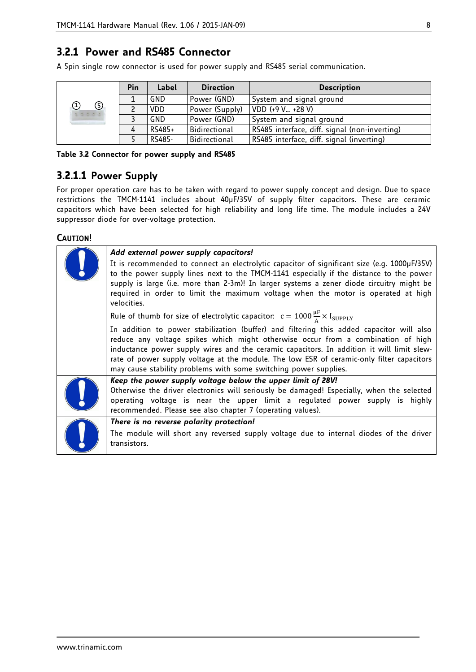## **3.2.1 Power and RS485 Connector**

A 5pin single row connector is used for power supply and RS485 serial communication.

|                 | Pin | Label      | <b>Direction</b> | <b>Description</b>                            |
|-----------------|-----|------------|------------------|-----------------------------------------------|
|                 |     | GND        | Power (GND)      | System and signal ground                      |
| ⑤<br>Ð<br>35500 |     | <b>VDD</b> | Power (Supply)   | VDD (+9 V +28 V)                              |
|                 |     | GND        | Power (GND)      | System and signal ground                      |
|                 |     | RS485+     | Bidirectional    | RS485 interface, diff. signal (non-inverting) |
|                 |     | RS485-     | Bidirectional    | RS485 interface, diff. signal (inverting)     |

**Table 3.2 Connector for power supply and RS485**

## **3.2.1.1 Power Supply**

For proper operation care has to be taken with regard to power supply concept and design. Due to space restrictions the TMCM-1141 includes about 40µF/35V of supply filter capacitors. These are ceramic capacitors which have been selected for high reliability and long life time. The module includes a 24V suppressor diode for over-voltage protection.

### **CAUTION!**

| Add external power supply capacitors!                                                                                                                                                                                                                                                                                                                                                                                                      |
|--------------------------------------------------------------------------------------------------------------------------------------------------------------------------------------------------------------------------------------------------------------------------------------------------------------------------------------------------------------------------------------------------------------------------------------------|
| It is recommended to connect an electrolytic capacitor of significant size (e.g. 1000µF/35V)<br>to the power supply lines next to the TMCM-1141 especially if the distance to the power<br>supply is large (i.e. more than 2-3m)! In larger systems a zener diode circuitry might be<br>required in order to limit the maximum voltage when the motor is operated at high<br>velocities.                                                   |
| Rule of thumb for size of electrolytic capacitor: $c = 1000 \frac{\mu F}{\Delta} \times I_{\text{SUPPLY}}$                                                                                                                                                                                                                                                                                                                                 |
| In addition to power stabilization (buffer) and filtering this added capacitor will also<br>reduce any voltage spikes which might otherwise occur from a combination of high<br>inductance power supply wires and the ceramic capacitors. In addition it will limit slew-<br>rate of power supply voltage at the module. The low ESR of ceramic-only filter capacitors<br>may cause stability problems with some switching power supplies. |
| Keep the power supply voltage below the upper limit of 28V!<br>Otherwise the driver electronics will seriously be damaged! Especially, when the selected<br>operating voltage is near the upper limit a regulated power supply is highly<br>recommended. Please see also chapter 7 (operating values).                                                                                                                                     |
| There is no reverse polarity protection!                                                                                                                                                                                                                                                                                                                                                                                                   |
| The module will short any reversed supply voltage due to internal diodes of the driver<br>transistors.                                                                                                                                                                                                                                                                                                                                     |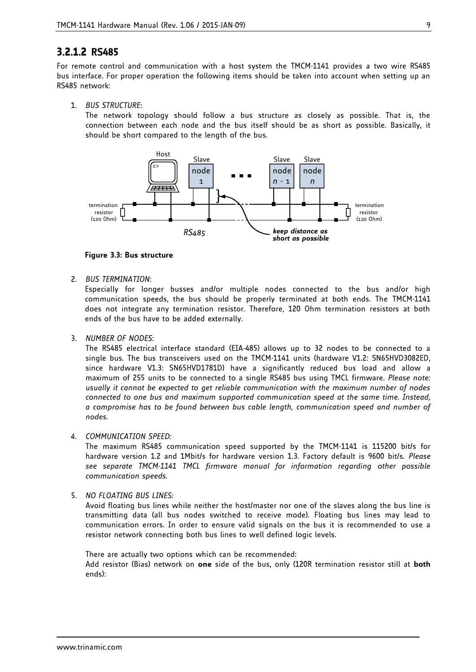## **3.2.1.2 RS485**

For remote control and communication with a host system the TMCM-1141 provides a two wire RS485 bus interface. For proper operation the following items should be taken into account when setting up an RS485 network:

1. *BUS STRUCTURE*:

The network topology should follow a bus structure as closely as possible. That is, the connection between each node and the bus itself should be as short as possible. Basically, it should be short compared to the length of the bus.



#### **Figure 3.3: Bus structure**

2. *BUS TERMINATION*:

Especially for longer busses and/or multiple nodes connected to the bus and/or high communication speeds, the bus should be properly terminated at both ends. The TMCM-1141 does not integrate any termination resistor. Therefore, 120 Ohm termination resistors at both ends of the bus have to be added externally.

3. *NUMBER OF NODES*:

The RS485 electrical interface standard (EIA-485) allows up to 32 nodes to be connected to a single bus. The bus transceivers used on the TMCM-1141 units (hardware V1.2: SN65HVD3082ED, since hardware V1.3: SN65HVD1781D) have a significantly reduced bus load and allow a maximum of 255 units to be connected to a single RS485 bus using TMCL firmware. *Please note: usually it cannot be expected to get reliable communication with the maximum number of nodes connected to one bus and maximum supported communication speed at the same time. Instead, a compromise has to be found between bus cable length, communication speed and number of nodes.*

#### *4. COMMUNICATION SPEED:*

The maximum RS485 communication speed supported by the TMCM-1141 is 115200 bit/s for hardware version 1.2 and 1Mbit/s for hardware version 1.3. Factory default is 9600 bit/s. *Please see separate TMCM-1141 TMCL firmware manual for information regarding other possible communication speeds.*

#### 5. *NO FLOATING BUS LINES:*

Avoid floating bus lines while neither the host/master nor one of the slaves along the bus line is transmitting data (all bus nodes switched to receive mode). Floating bus lines may lead to communication errors. In order to ensure valid signals on the bus it is recommended to use a resistor network connecting both bus lines to well defined logic levels.

There are actually two options which can be recommended:

Add resistor (Bias) network on **one** side of the bus, only (120R termination resistor still at **both** ends):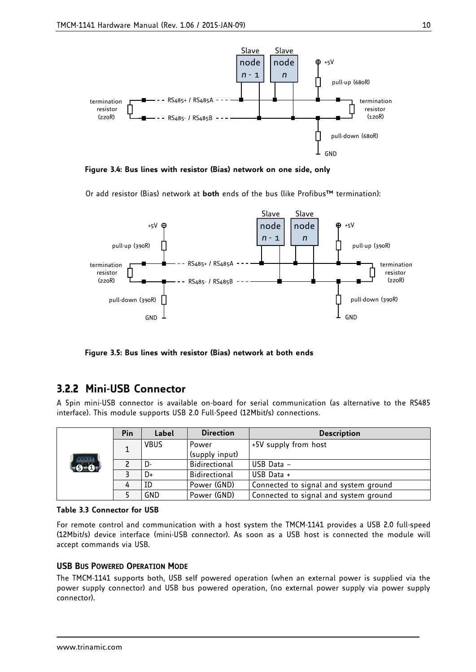

**Figure 3.4: Bus lines with resistor (Bias) network on one side, only**

Or add resistor (Bias) network at **both** ends of the bus (like Profibus™ termination):



**Figure 3.5: Bus lines with resistor (Bias) network at both ends**

## **3.2.2 Mini-USB Connector**

A 5pin mini-USB connector is available on-board for serial communication (as alternative to the RS485 interface). This module supports USB 2.0 Full-Speed (12Mbit/s) connections.

|            | Pin | Label | <b>Direction</b> | <b>Description</b>                    |
|------------|-----|-------|------------------|---------------------------------------|
|            |     | VBUS  | Power            | +5V supply from host                  |
|            |     |       | (supply input)   |                                       |
| ,<br>-6-0. |     | D-    | Bidirectional    | USB Data -                            |
|            |     | D+    | Bidirectional    | USB Data +                            |
|            | 4   | ID    | Power (GND)      | Connected to signal and system ground |
|            |     | GND   | Power (GND)      | Connected to signal and system ground |



For remote control and communication with a host system the TMCM-1141 provides a USB 2.0 full-speed (12Mbit/s) device interface (mini-USB connector). As soon as a USB host is connected the module will accept commands via USB.

### **USB BUS POWERED OPERATION MODE**

The TMCM-1141 supports both, USB self powered operation (when an external power is supplied via the power supply connector) and USB bus powered operation, (no external power supply via power supply connector).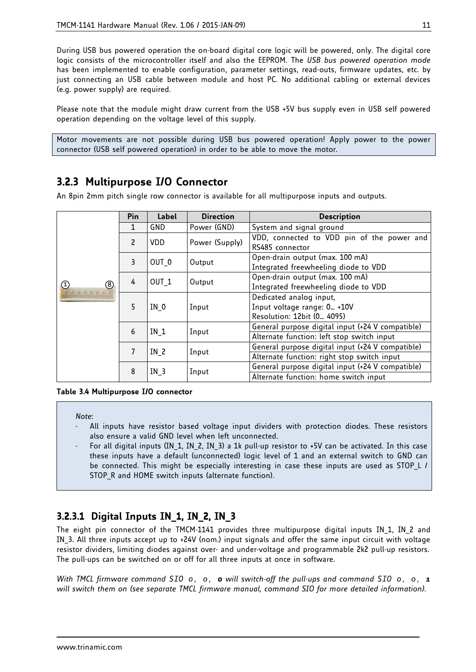During USB bus powered operation the on-board digital core logic will be powered, only. The digital core logic consists of the microcontroller itself and also the EEPROM. The *USB bus powered operation mode* has been implemented to enable configuration, parameter settings, read-outs, firmware updates, etc. by just connecting an USB cable between module and host PC. No additional cabling or external devices (e.g. power supply) are required.

Please note that the module might draw current from the USB +5V bus supply even in USB self powered operation depending on the voltage level of this supply.

Motor movements are not possible during USB bus powered operation! Apply power to the power connector (USB self powered operation) in order to be able to move the motor.

## **3.2.3 Multipurpose I/O Connector**

An 8pin 2mm pitch single row connector is available for all multipurpose inputs and outputs.

|                                             | Pin | Label            | <b>Direction</b> | <b>Description</b>                                                                              |
|---------------------------------------------|-----|------------------|------------------|-------------------------------------------------------------------------------------------------|
|                                             | 1   | GND              | Power (GND)      | System and signal ground                                                                        |
|                                             | 2   | <b>VDD</b>       | Power (Supply)   | VDD, connected to VDD pin of the power and<br>RS485 connector                                   |
|                                             | 3   | OUT 0            | Output           | Open-drain output (max. 100 mA)<br>Integrated freewheeling diode to VDD                         |
| $\circledR$<br>$\circled{1}$<br>4 6 6 5 6 5 | 4   | OUT <sub>1</sub> | Output           | Open-drain output (max. 100 mA)<br>Integrated freewheeling diode to VDD                         |
|                                             | 5   | IN <sub>0</sub>  | Input            | Dedicated analog input,<br>Input voltage range: 0 +10V<br>Resolution: 12bit (0 4095)            |
|                                             | 6   | IN <sub>1</sub>  | Input            | General purpose digital input (+24 V compatible)<br>Alternate function: left stop switch input  |
|                                             | 7   | IN <sub>2</sub>  | Input            | General purpose digital input (+24 V compatible)<br>Alternate function: right stop switch input |
|                                             | 8   | $IN_3$           | Input            | General purpose digital input (+24 V compatible)<br>Alternate function: home switch input       |

**Table 3.4 Multipurpose I/O connector**

*Note*:

- All inputs have resistor based voltage input dividers with protection diodes. These resistors also ensure a valid GND level when left unconnected.
- For all digital inputs (IN\_1, IN\_2, IN\_3) a 1k pull-up resistor to +5V can be activated. In this case these inputs have a default (unconnected) logic level of 1 and an external switch to GND can be connected. This might be especially interesting in case these inputs are used as STOP\_L / STOP\_R and HOME switch inputs (alternate function).

## **3.2.3.1 Digital Inputs IN\_1, IN\_2, IN\_3**

The eight pin connector of the TMCM-1141 provides three multipurpose digital inputs IN\_1, IN\_2 and IN 3. All three inputs accept up to +24V (nom.) input signals and offer the same input circuit with voltage resistor dividers, limiting diodes against over- and under-voltage and programmable 2k2 pull-up resistors. The pull-ups can be switched on or off for all three inputs at once in software.

*With TMCL firmware command SIO 0, 0, 0 will switch-off the pull-ups and command SIO 0, 0, 1 will switch them on (see separate TMCL firmware manual, command SIO for more detailed information).*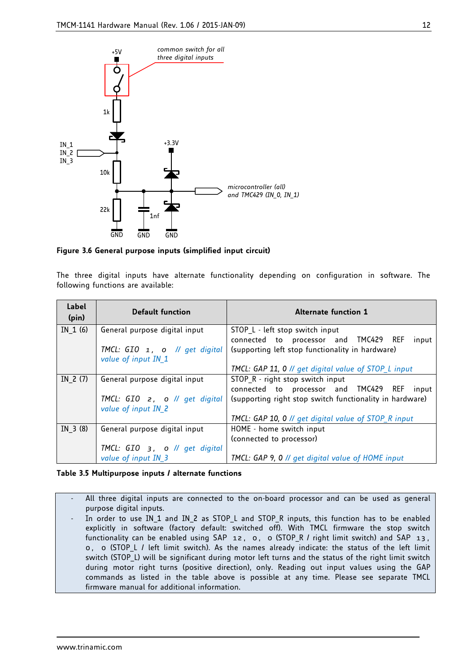

**Figure 3.6 General purpose inputs (simplified input circuit)**

The three digital inputs have alternate functionality depending on configuration in software. The following functions are available:

| Label<br>(pin) | <b>Default function</b>                                               | <b>Alternate function 1</b>                              |
|----------------|-----------------------------------------------------------------------|----------------------------------------------------------|
| IN $1(6)$      | General purpose digital input                                         | STOP L - left stop switch input                          |
|                |                                                                       | connected to processor and TMC429 REF<br>input           |
|                | TMCL: GIO 1, 0 // get digital                                         | (supporting left stop functionality in hardware)         |
|                | value of input IN_1                                                   |                                                          |
|                |                                                                       | TMCL: GAP 11, 0 // get digital value of STOP L input     |
| IN $2(7)$      | General purpose digital input                                         | STOP R - right stop switch input                         |
|                |                                                                       | connected to processor and TMC429 REF<br>input           |
|                | TMCL: $GIO$ 2, 0 $\text{/}\text{/}\text{/}\text{/}\text{get digital}$ | (supporting right stop switch functionality in hardware) |
|                | value of input IN 2                                                   |                                                          |
|                |                                                                       | TMCL: GAP 10, 0 // get digital value of STOP R input     |
| IN $3(8)$      | General purpose digital input                                         | HOME - home switch input                                 |
|                |                                                                       | (connected to processor)                                 |
|                | TMCL: $GIO$ 3, 0 // get digital                                       |                                                          |
|                | value of input IN 3                                                   | TMCL: GAP 9, 0 // get digital value of HOME input        |

#### **Table 3.5 Multipurpose inputs / alternate functions**

All three digital inputs are connected to the on-board processor and can be used as general purpose digital inputs.

In order to use IN\_1 and IN\_2 as STOP\_L and STOP\_R inputs, this function has to be enabled explicitly in software (factory default: switched off). With TMCL firmware the stop switch functionality can be enabled using SAP 12, 0, 0 (STOP\_R / right limit switch) and SAP 13, 0, 0 (STOP\_L / left limit switch). As the names already indicate: the status of the left limit switch (STOP L) will be significant during motor left turns and the status of the right limit switch during motor right turns (positive direction), only. Reading out input values using the GAP commands as listed in the table above is possible at any time. Please see separate TMCL firmware manual for additional information.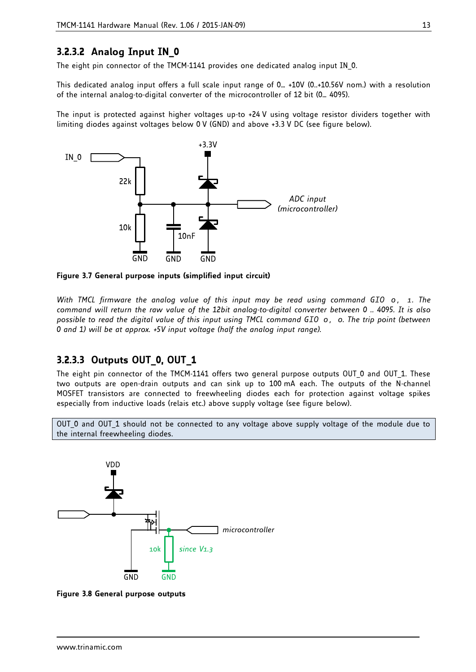## **3.2.3.2 Analog Input IN\_0**

The eight pin connector of the TMCM-1141 provides one dedicated analog input IN\_0.

This dedicated analog input offers a full scale input range of 0… +10V (0..+10.56V nom.) with a resolution of the internal analog-to-digital converter of the microcontroller of 12 bit (0… 4095).

The input is protected against higher voltages up-to +24 V using voltage resistor dividers together with limiting diodes against voltages below 0 V (GND) and above +3.3 V DC (see figure below).



**Figure 3.7 General purpose inputs (simplified input circuit)**

*With TMCL firmware the analog value of this input may be read using command GIO 0, 1. The command will return the raw value of the 12bit analog-to-digital converter between 0 .. 4095. It is also possible to read the digital value of this input using TMCL command GIO 0, 0. The trip point (between 0 and 1) will be at approx. +5V input voltage (half the analog input range).*

## **3.2.3.3 Outputs OUT\_0, OUT\_1**

The eight pin connector of the TMCM-1141 offers two general purpose outputs OUT 0 and OUT 1. These two outputs are open-drain outputs and can sink up to 100 mA each. The outputs of the N-channel MOSFET transistors are connected to freewheeling diodes each for protection against voltage spikes especially from inductive loads (relais etc.) above supply voltage (see figure below).

OUT 0 and OUT 1 should not be connected to any voltage above supply voltage of the module due to the internal freewheeling diodes.



<span id="page-12-0"></span>**Figure 3.8 General purpose outputs**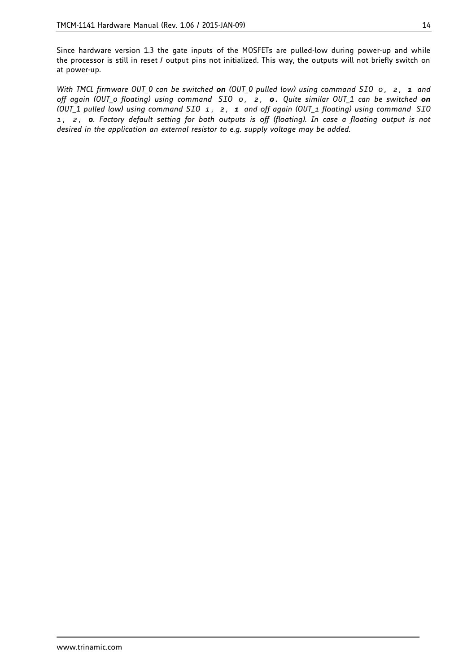Since hardware version 1.3 the gate inputs of the MOSFETs are pulled-low during power-up and while the processor is still in reset / output pins not initialized. This way, the outputs will not briefly switch on at power-up.

*With TMCL firmware OUT\_0 can be switched on (OUT\_0 pulled low) using command SIO 0, 2, 1 and off again (OUT\_0 floating) using command SIO 0, 2, 0. Quite similar OUT\_1 can be switched on (OUT\_1 pulled low) using command SIO 1, 2, 1 and off again (OUT\_1 floating) using command SIO 1, 2, 0. Factory default setting for both outputs is off (floating). In case a floating output is not desired in the application an external resistor to e.g. supply voltage may be added.*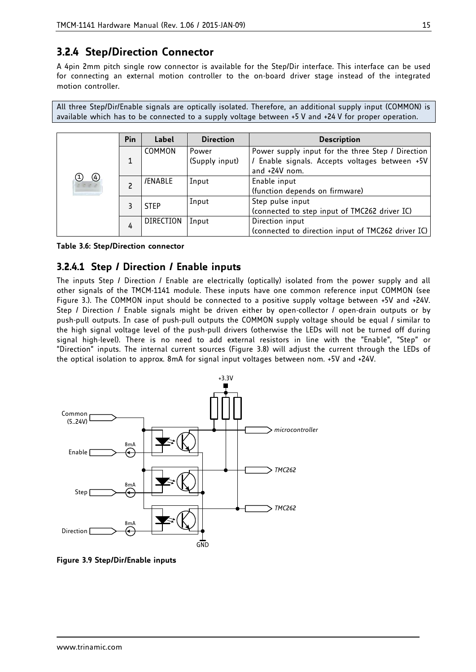## **3.2.4 Step/Direction Connector**

A 4pin 2mm pitch single row connector is available for the Step/Dir interface. This interface can be used for connecting an external motion controller to the on-board driver stage instead of the integrated motion controller.

All three Step/Dir/Enable signals are optically isolated. Therefore, an additional supply input (COMMON) is available which has to be connected to a supply voltage between +5 V and +24 V for proper operation.

|                                       | Pin | Label            | <b>Direction</b>        | <b>Description</b>                                                                                                     |
|---------------------------------------|-----|------------------|-------------------------|------------------------------------------------------------------------------------------------------------------------|
| $\circledast$<br>(1)<br>$c$ 0 $c$ $c$ | 1   | COMMON           | Power<br>(Supply input) | Power supply input for the three Step / Direction<br>/ Enable signals. Accepts voltages between +5V<br>and $+24V$ nom. |
|                                       |     | /ENABLE          | Input                   | Enable input<br>(function depends on firmware)                                                                         |
|                                       |     | <b>STEP</b>      | Input                   | Step pulse input<br>(connected to step input of TMC262 driver IC)                                                      |
|                                       | 4   | <b>DIRECTION</b> | Input                   | Direction input<br>(connected to direction input of TMC262 driver IC)                                                  |

#### **Table 3.6: Step/Direction connector**

## **3.2.4.1 Step / Direction / Enable inputs**

The inputs Step / Direction / Enable are electrically (optically) isolated from the power supply and all other signals of the TMCM-1141 module. These inputs have one common reference input COMMON (see [Figure 3.\)](#page-12-0). The COMMON input should be connected to a positive supply voltage between +5V and +24V. Step / Direction / Enable signals might be driven either by open-collector / open-drain outputs or by push-pull outputs. In case of push-pull outputs the COMMON supply voltage should be equal / similar to the high signal voltage level of the push-pull drivers (otherwise the LEDs will not be turned off during signal high-level). There is no need to add external resistors in line with the "Enable", "Step" or "Direction" inputs. The internal current sources (Figure 3.8) will adjust the current through the LEDs of the optical isolation to approx. 8mA for signal input voltages between nom. +5V and +24V.



**Figure 3.9 Step/Dir/Enable inputs**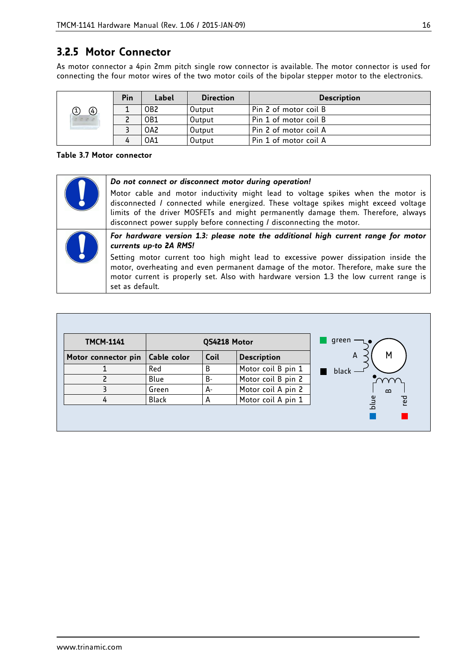## **3.2.5 Motor Connector**

As motor connector a 4pin 2mm pitch single row connector is available. The motor connector is used for connecting the four motor wires of the two motor coils of the bipolar stepper motor to the electronics.

|               | Pin | Label           | <b>Direction</b> | <b>Description</b>    |
|---------------|-----|-----------------|------------------|-----------------------|
| $\circledast$ |     | OB <sub>2</sub> | Output           | Pin 2 of motor coil B |
| $c \circ c$   |     | OB1             | Output           | Pin 1 of motor coil B |
|               |     | OA2             | Output           | Pin 2 of motor coil A |
|               |     | 0A1             | Output           | Pin 1 of motor coil A |

**Table 3.7 Motor connector**

| Do not connect or disconnect motor during operation!                                                                                                                                                                                                                                                                                 |
|--------------------------------------------------------------------------------------------------------------------------------------------------------------------------------------------------------------------------------------------------------------------------------------------------------------------------------------|
| Motor cable and motor inductivity might lead to voltage spikes when the motor is<br>disconnected / connected while energized. These voltage spikes might exceed voltage<br>limits of the driver MOSFETs and might permanently damage them. Therefore, always<br>disconnect power supply before connecting / disconnecting the motor. |
| For hardware version 1.3: please note the additional high current range for motor<br>currents up-to 2A RMS!                                                                                                                                                                                                                          |
| Setting motor current too high might lead to excessive power dissipation inside the<br>motor, overheating and even permanent damage of the motor. Therefore, make sure the<br>motor current is properly set. Also with hardware version 1.3 the low current range is<br>set as default.                                              |

| <b>TMCM-1141</b>    |              | QS4218 Motor |                    | green              |
|---------------------|--------------|--------------|--------------------|--------------------|
| Motor connector pin | Cable color  | Coil         | <b>Description</b> | M<br>A             |
|                     | Red          | B            | Motor coil B pin 1 | black              |
| ר                   | Blue         | B-           | Motor coil B pin 2 |                    |
| 3                   | Green        | А-           | Motor coil A pin 2 | $\Omega$           |
| 4                   | <b>Black</b> | А            | Motor coil A pin 1 | <b>Ted</b><br>blue |
|                     |              |              |                    |                    |
|                     |              |              |                    |                    |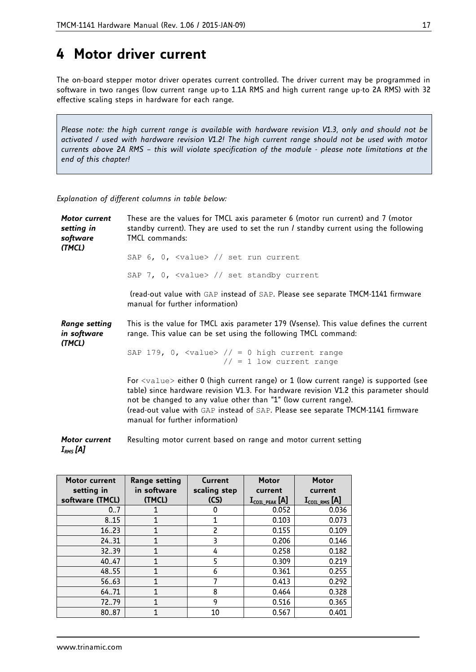## **4 Motor driver current**

The on-board stepper motor driver operates current controlled. The driver current may be programmed in software in two ranges (low current range up-to 1.1A RMS and high current range up-to 2A RMS) with 32 effective scaling steps in hardware for each range.

*Please note: the high current range is available with hardware revision V1.3, only and should not be activated / used with hardware revision V1.2! The high current range should not be used with motor currents above 2A RMS – this will violate specification of the module - please note limitations at the end of this chapter!*

*Explanation of different columns in table below:*

*Motor current setting in software (TMCL)* These are the values for TMCL axis parameter 6 (motor run current) and 7 (motor standby current). They are used to set the run / standby current using the following TMCL commands: SAP 6, 0, <value> // set run current SAP 7, 0, <value> // set standby current (read-out value with GAP instead of SAP. Please see separate TMCM-1141 firmware manual for further information) *Range setting in software (TMCL)* This is the value for TMCL axis parameter 179 (Vsense). This value defines the current range. This value can be set using the following TMCL command: SAP 179, 0, <value>  $// = 0$  high current range  $// = 1$  low current range For <value> either 0 (high current range) or 1 (low current range) is supported (see table) since hardware revision V1.3. For hardware revision V1.2 this parameter should not be changed to any value other than "1" (low current range). (read-out value with GAP instead of SAP. Please see separate TMCM-1141 firmware manual for further information) *Motor current*  Resulting motor current based on range and motor current setting

*IRMS [A]*

| Motor current<br>setting in<br>software (TMCL) | Range setting<br>in software<br>(TMCL) | Current<br>scaling step<br>(CS) | <b>Motor</b><br>current<br>$\mathbf{I}_{\text{COL PEAK}}$ [A] | <b>Motor</b><br>current<br>$\mathbf{I}_{\texttt{COL RMS}}$ [A] |
|------------------------------------------------|----------------------------------------|---------------------------------|---------------------------------------------------------------|----------------------------------------------------------------|
| 0.7                                            |                                        | 0                               | 0.052                                                         | 0.036                                                          |
| 8.15                                           |                                        | 1                               | 0.103                                                         | 0.073                                                          |
| 16.23                                          |                                        | 2                               | 0.155                                                         | 0.109                                                          |
| 24.31                                          | 1                                      | 3                               | 0.206                                                         | 0.146                                                          |
| 32.39                                          | 1                                      | 4                               | 0.258                                                         | 0.182                                                          |
| 40.47                                          |                                        | 5                               | 0.309                                                         | 0.219                                                          |
| 48.55                                          | 1                                      | 6                               | 0.361                                                         | 0.255                                                          |
| 5663                                           |                                        |                                 | 0.413                                                         | 0.292                                                          |
| 64.71                                          |                                        | 8                               | 0.464                                                         | 0.328                                                          |
| 7279                                           | 1                                      | 9                               | 0.516                                                         | 0.365                                                          |
| 8087                                           |                                        | 10                              | 0.567                                                         | 0.401                                                          |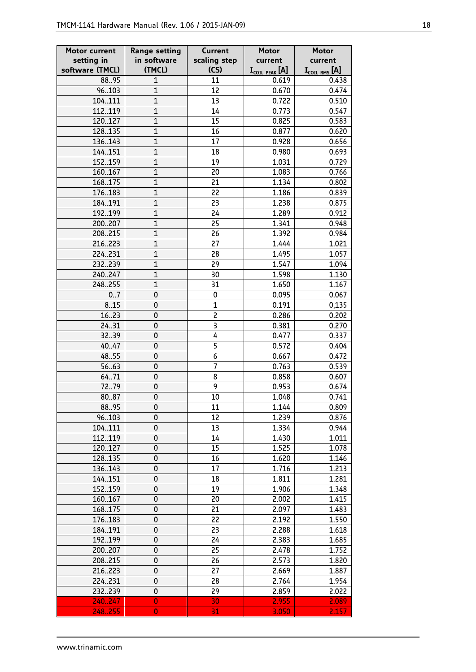| Motor current   | <b>Range setting</b><br>Current |                     | <b>Motor</b>                                 | <b>Motor</b>            |
|-----------------|---------------------------------|---------------------|----------------------------------------------|-------------------------|
| setting in      | in software                     |                     | current                                      | current                 |
| software (TMCL) | (TMCL)                          | (CS)                | $\mathbf{I}_{\text{COL}$ peak $[\mathsf{A}]$ | $I_{\text{COL RMS}}[A]$ |
| 88.95           | $\mathbf{1}$                    | 11                  | 0.619                                        | 0.438                   |
| 96.103          | $\overline{1}$                  | 12                  | 0.670                                        | 0.474                   |
| 104.111         | $\overline{1}$                  | 13                  | 0.722                                        | 0.510                   |
| 112119          | $\overline{1}$                  | 14                  | 0.773                                        | 0.547                   |
| 120127          | $\overline{1}$                  | 15                  | 0.825                                        | 0.583                   |
| 128.135         | $\overline{1}$                  | 16                  | 0.877                                        | 0.620                   |
| 136143          | $\overline{1}$                  | 17                  | 0.928                                        | 0.656                   |
| 144.151         | $\overline{1}$                  | 18                  | 0.980                                        | 0.693                   |
| 152159          | $\overline{1}$                  | 19                  | 1.031                                        | 0.729                   |
| 160167          | $\mathbf{1}$                    | 20                  | 1.083                                        | 0.766                   |
| 168.175         | $\overline{1}$                  | 21                  | 1.134                                        | 0.802                   |
| 176.183         | $\mathbf{1}$                    | 22                  | 1.186                                        | 0.839                   |
| 184.191         | $\overline{1}$                  | 23                  | 1.238                                        | 0.875                   |
| 192199          | $\mathbf{1}$                    | 24                  | 1.289                                        | 0.912                   |
| 200207          | $\overline{1}$                  | 25                  | 1.341                                        | 0.948                   |
| 208.215         | $\overline{1}$                  | 26                  | 1.392                                        | 0.984                   |
| 216.223         | $\overline{1}$                  | 27                  | 1.444                                        | 1.021                   |
| 224.231         | $\overline{1}$                  | 28                  | 1.495                                        | 1.057                   |
| 232.239         | $\overline{1}$                  | 29                  | 1.547                                        | 1.094                   |
| 240.247         | $\overline{1}$                  | 30                  | 1.598                                        | 1.130                   |
| 248.255         | $\mathbf{1}$                    | 31                  | 1.650                                        | 1.167                   |
| 0.7             | $\mathsf 0$                     | 0                   | 0.095                                        | 0.067                   |
| 8.15            | 0                               | $\mathbf{1}$        | 0.191                                        | 0,135                   |
| 1623            | 0                               | $\overline{c}$      | 0.286                                        | 0.202                   |
| 24.31           | 0                               | 3                   | 0.381                                        | 0.270                   |
| 32.39           | $\mathbf 0$                     | $\overline{4}$      | 0.477                                        | 0.337                   |
| 40.47           | 0                               | 5<br>$\overline{6}$ | 0.572                                        | 0.404                   |
| 48.55<br>5663   | 0<br>$\mathsf 0$                | 7                   | 0.667                                        | 0.472                   |
| 64.71           | $\mathbf 0$                     | 8                   | 0.763<br>0.858                               | 0.539<br>0.607          |
| 7279            | 0                               | 9                   | 0.953                                        | 0.674                   |
| 8087            | 0                               | 10                  | 1.048                                        | 0.741                   |
| 88.95           | 0                               | 11                  | 1.144                                        | 0.809                   |
| 96103           | 0                               | 12                  | 1.239                                        | 0.876                   |
| 104.111         | 0                               | 13                  | 1.334                                        | 0.944                   |
| 112119          | 0                               | 14                  | 1.430                                        | 1.011                   |
| 120.127         | 0                               | 15                  | 1.525                                        | 1.078                   |
| 128.135         | 0                               | 16                  | 1.620                                        | 1.146                   |
| 136.143         | 0                               | 17                  | 1.716                                        | 1.213                   |
| 144151          | 0                               | 18                  | 1.811                                        | 1.281                   |
| 152159          | $\mathsf 0$                     | 19                  | 1.906                                        | 1.348                   |
| 160.167         | 0                               | 20                  | 2.002                                        | 1.415                   |
| 168.175         | 0                               | 21                  | 2.097                                        | 1.483                   |
| 176.183         | $\mathsf 0$                     | 22                  | 2.192                                        | 1.550                   |
| 184.191         | $\mathbf 0$                     | 23                  | 2.288                                        | 1.618                   |
| 192199          | 0                               | 24                  | 2.383                                        | 1.685                   |
| 200207          | 0                               | 25                  | 2.478                                        | 1.752                   |
| 208.215         | 0                               | 26                  | 2.573                                        | 1.820                   |
| 216.223         | 0                               | 27                  | 2.669                                        | 1.887                   |
| 224.231         | 0                               | 28                  | 2.764                                        | 1.954                   |
| 232239          | 0                               | 29                  | 2.859                                        | 2.022                   |
| 240.247         | $\overline{0}$                  | 30                  | 2.955                                        | 2.089                   |
| 248.255         | $\mathbf 0$                     | 31                  | 3.050                                        | 2.157                   |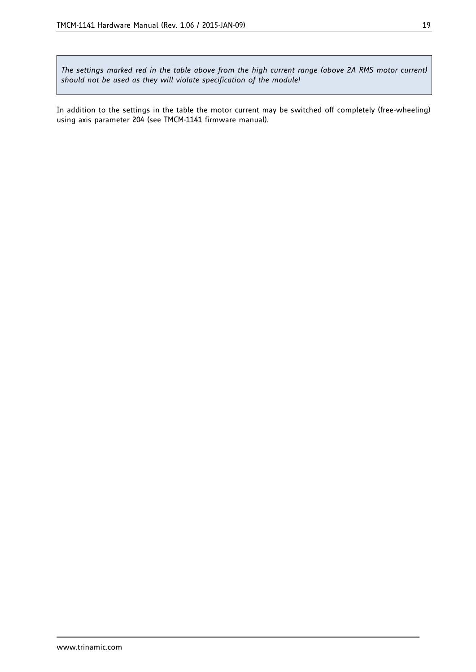*The settings marked red in the table above from the high current range (above 2A RMS motor current) should not be used as they will violate specification of the module!*

In addition to the settings in the table the motor current may be switched off completely (free-wheeling) using axis parameter 204 (see TMCM-1141 firmware manual).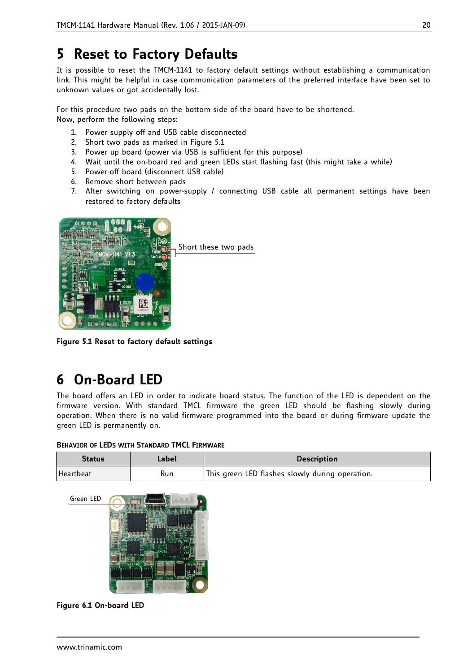## **5 Reset to Factory Defaults**

It is possible to reset the TMCM-1141 to factory default settings without establishing a communication link. This might be helpful in case communication parameters of the preferred interface have been set to unknown values or got accidentally lost.

For this procedure two pads on the bottom side of the board have to be shortened. Now, perform the following steps:

- 1. Power supply off and USB cable disconnected
- 2. Short two pads as marked in [Figure 5.1](#page-19-0)
- 3. Power up board (power via USB is sufficient for this purpose)
- 4. Wait until the on-board red and green LEDs start flashing fast (this might take a while)
- 5. Power-off board (disconnect USB cable)
- 6. Remove short between pads
- 7. After switching on power-supply / connecting USB cable all permanent settings have been restored to factory defaults



**Figure 5.1 Reset to factory default settings**

## <span id="page-19-0"></span>**6 On-Board LED**

The board offers an LED in order to indicate board status. The function of the LED is dependent on the firmware version. With standard TMCL firmware the green LED should be flashing slowly during operation. When there is no valid firmware programmed into the board or during firmware update the green LED is permanently on.

| <b>BEHAVIOR OF LEDS WITH STANDARD TMCL FIRMWARE</b> |  |  |  |
|-----------------------------------------------------|--|--|--|
|-----------------------------------------------------|--|--|--|

| <b>Status</b> | Label | <b>Description</b>                              |
|---------------|-------|-------------------------------------------------|
| Heartbeat     | Run   | This green LED flashes slowly during operation. |



**Figure 6.1 On-board LED**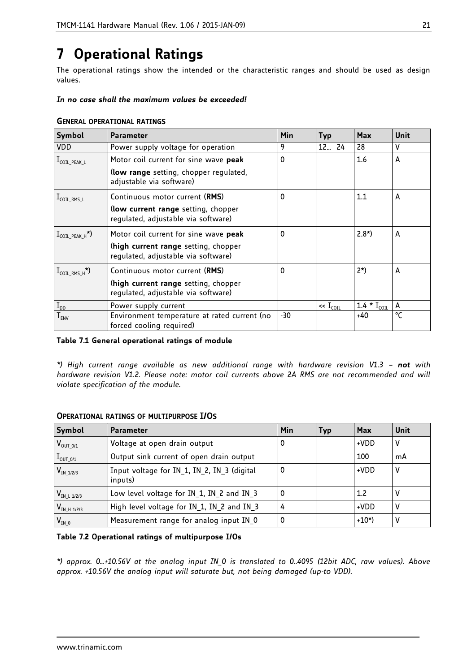## <span id="page-20-0"></span>**7 Operational Ratings**

The operational ratings show the intended or the characteristic ranges and should be used as design values.

### *In no case shall the maximum values be exceeded!*

| Symbol                                      | <b>Parameter</b>                                                                                                     | Min | <b>Typ</b>                 | Max                       | Unit |
|---------------------------------------------|----------------------------------------------------------------------------------------------------------------------|-----|----------------------------|---------------------------|------|
| <b>VDD</b>                                  | Power supply voltage for operation                                                                                   | 9   | 1224                       | 28                        | v    |
| $1$ <sub>COIL_PEAK_L</sub>                  | Motor coil current for sine wave peak                                                                                | 0   |                            | 1.6                       | A    |
|                                             | (low range setting, chopper regulated,<br>adjustable via software)                                                   |     |                            |                           |      |
| $I_{\text{COL\_RMS\_L}}$                    | Continuous motor current (RMS)                                                                                       | 0   |                            | 1.1                       | A    |
|                                             | (low current range setting, chopper<br>regulated, adjustable via software)                                           |     |                            |                           |      |
| $I_{COL\,PEAK\,H}^{\star})$                 | Motor coil current for sine wave peak<br>(high current range setting, chopper<br>regulated, adjustable via software) | 0   |                            | $2.8^*$                   | A    |
| $\mathrm{I}_{\mathrm{COL\_RMS\_H}}^{\star}$ | Continuous motor current (RMS)                                                                                       | 0   |                            | $2^{\star}$               | A    |
|                                             | (high current range setting, chopper<br>regulated, adjustable via software)                                          |     |                            |                           |      |
| $\mathbf{I}_{\texttt{DD}}$                  | Power supply current                                                                                                 |     | $\ll$ ${\rm I}_{\rm COII}$ | 1.4 $*$ I <sub>COIL</sub> | Α    |
| $T_{ENV}$                                   | Environment temperature at rated current (no<br>forced cooling required)                                             | -30 |                            | +40                       | °C   |

#### **GENERAL OPERATIONAL RATINGS**

### **Table 7.1 General operational ratings of module**

*\*) High current range available as new additional range with hardware revision V1.3 – not with hardware revision V1.2. Please note: motor coil currents above 2A RMS are not recommended and will violate specification of the module.* 

| Symbol               | <b>Parameter</b>                                       | Min | Typ | Max       | Unit |
|----------------------|--------------------------------------------------------|-----|-----|-----------|------|
| $V_{\text{OUT_0/1}}$ | Voltage at open drain output                           |     |     | +VDD      | ۷    |
| $I_{\text{OUT_0/1}}$ | Output sink current of open drain output               |     |     | 100       | mA   |
| $V_{IN_1/2/3}$       | Input voltage for IN 1, IN 2, IN 3 (digital<br>inputs) |     |     | +VDD      | ۷    |
| $V_{INL 1/2/3}$      | Low level voltage for $IN_1$ , $IN_2$ and $IN_3$       |     |     | 1.2       |      |
| $V_{IN-H 1/2/3}$     | High level voltage for IN 1, IN 2 and IN 3             |     |     | +VDD      | ٧    |
| $V_{IN_0}$           | Measurement range for analog input IN 0                |     |     | $+10^{*}$ | v    |

### **OPERATIONAL RATINGS OF MULTIPURPOSE I/OS**

#### **Table 7.2 Operational ratings of multipurpose I/Os**

*\*) approx. 0…+10.56V at the analog input IN\_0 is translated to 0..4095 (12bit ADC, raw values). Above approx. +10.56V the analog input will saturate but, not being damaged (up-to VDD).*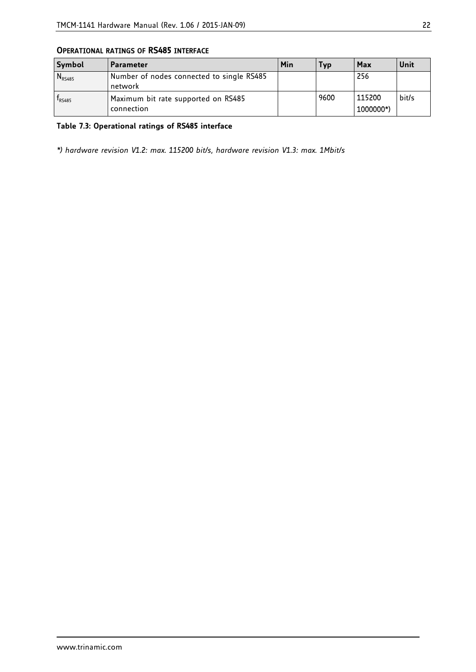| Symbol      | <b>Parameter</b>                                     | Min | Тур  | Max                 | Unit  |
|-------------|------------------------------------------------------|-----|------|---------------------|-------|
| $N_{RS485}$ | Number of nodes connected to single RS485<br>network |     |      | 256                 |       |
| $f_{RS485}$ | Maximum bit rate supported on RS485<br>connection    |     | 9600 | 115200<br>1000000*) | bit/s |

### **OPERATIONAL RATINGS OF RS485 INTERFACE**

## **Table 7.3: Operational ratings of RS485 interface**

*\*) hardware revision V1.2: max. 115200 bit/s, hardware revision V1.3: max. 1Mbit/s*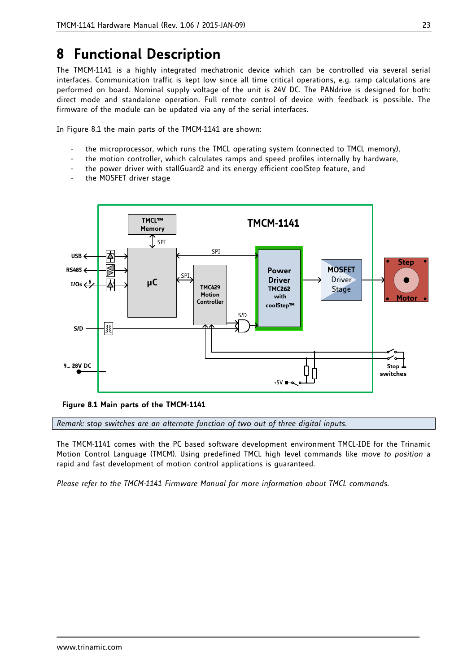## **8 Functional Description**

The TMCM-1141 is a highly integrated mechatronic device which can be controlled via several serial interfaces. Communication traffic is kept low since all time critical operations, e.g. ramp calculations are performed on board. Nominal supply voltage of the unit is 24V DC. The PANdrive is designed for both: direct mode and standalone operation. Full remote control of device with feedback is possible. The firmware of the module can be updated via any of the serial interfaces.

In [Figure](#page-22-0) 8.1 the main parts of the TMCM-1141 are shown:

- the microprocessor, which runs the TMCL operating system (connected to TMCL memory),
- the motion controller, which calculates ramps and speed profiles internally by hardware,
- the power driver with stallGuard2 and its energy efficient coolStep feature, and
- the MOSFET driver stage



<span id="page-22-0"></span>**Figure 8.1 Main parts of the TMCM-1141**

*Remark: stop switches are an alternate function of two out of three digital inputs.*

The TMCM-1141 comes with the PC based software development environment TMCL-IDE for the Trinamic Motion Control Language (TMCM). Using predefined TMCL high level commands like *move to position* a rapid and fast development of motion control applications is guaranteed.

*Please refer to the TMCM-1141 Firmware Manual for more information about TMCL commands.*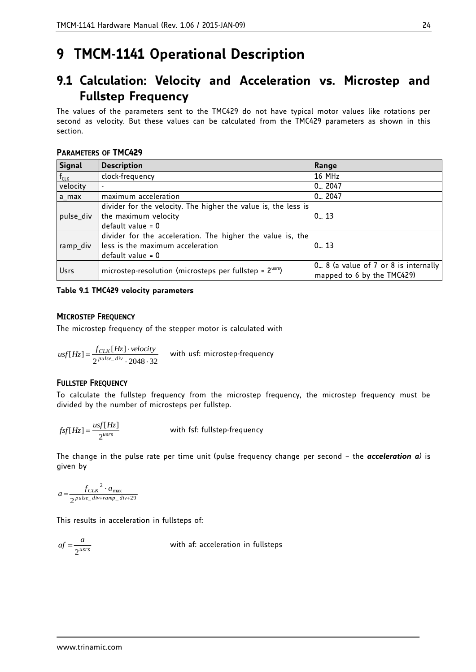## **9 TMCM-1141 Operational Description**

## **9.1 Calculation: Velocity and Acceleration vs. Microstep and Fullstep Frequency**

The values of the parameters sent to the TMC429 do not have typical motor values like rotations per second as velocity. But these values can be calculated from the TMC429 parameters as shown in this section.

### **PARAMETERS OF TMC429**

| Signal    | <b>Description</b>                                             | Range                                                              |  |
|-----------|----------------------------------------------------------------|--------------------------------------------------------------------|--|
| $f_{CLK}$ | clock-frequency                                                | 16 MHz                                                             |  |
| velocity  |                                                                | $0 - 2047$                                                         |  |
| a max     | maximum acceleration                                           | $0 - 2047$                                                         |  |
|           | divider for the velocity. The higher the value is, the less is |                                                                    |  |
| pulse_div | the maximum velocity                                           | 0.13                                                               |  |
|           | $default value = 0$                                            |                                                                    |  |
|           | divider for the acceleration. The higher the value is, the     |                                                                    |  |
| ramp_div  | less is the maximum acceleration                               | $0 - 13$                                                           |  |
|           | $default value = 0$                                            |                                                                    |  |
| Usrs      | microstep-resolution (microsteps per fullstep = $2usr5$ )      | 0 8 (a value of 7 or 8 is internally<br>mapped to 6 by the TMC429) |  |

### **Table 9.1 TMC429 velocity parameters**

### **MICROSTEP FREQUENCY**

The microstep frequency of the stepper motor is calculated with

$$
usf[Hz] = \frac{f_{CLK}[Hz] \cdot velocity}{2^{pulse\_div} \cdot 2048 \cdot 32}
$$
 with usf: microscope-frequency

### **FULLSTEP FREQUENCY**

To calculate the fullstep frequency from the microstep frequency, the microstep frequency must be divided by the number of microsteps per fullstep.

$$
fsf[Hz] = \frac{usf[Hz]}{2^{usrs}}
$$

with fsf: fullstep-frequency

The change in the pulse rate per time unit (pulse frequency change per second – the *acceleration a)* is given by

$$
a = \frac{{f_{CLK}}^2 \cdot a_{\max}}{2^{\text{pulse\_div+ramp\_div+29}}}
$$

This results in acceleration in fullsteps of:

$$
af = \frac{a}{2^{usrs}}
$$

with af: acceleration in fullsteps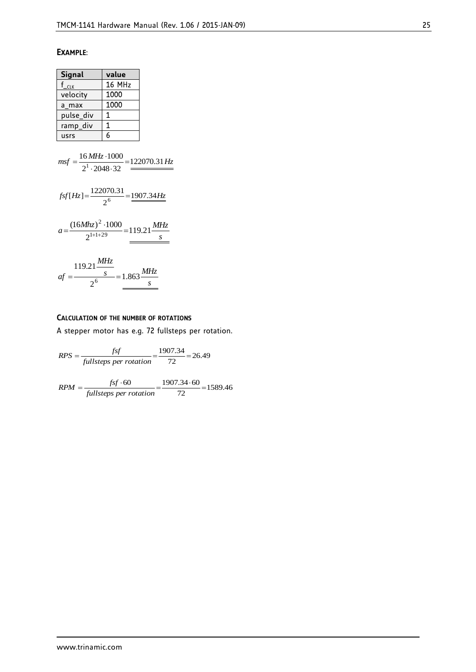### **EXAMPLE**:

| Signal           | value  |
|------------------|--------|
| $f_{\text{CLK}}$ | 16 MHz |
| velocity         | 1000   |
| a max            | 1000   |
| pulse_div        | 1      |
| ramp_div         | 1      |
| usrs             | 6      |

$$
msf = \frac{16 \, MHz \cdot 1000}{2^1 \cdot 2048 \cdot 32} = \frac{122070.31 \, Hz}{2^6}
$$
\n
$$
fsf[Hz] = \frac{122070.31}{2^6} = \frac{1907.34 \, Hz}{2^6}
$$

$$
a = \frac{(16Mhz)^2 \cdot 1000}{2^{1+1+29}} = 119.21 \frac{MHz}{s}
$$

$$
af = \frac{119.21 \frac{MHz}{s}}{2^6} = 1.863 \frac{MHz}{s}
$$

#### **CALCULATION OF THE NUMBER OF ROTATIONS**

A stepper motor has e.g. 72 fullsteps per rotation.

$$
RPS = \frac{fsf}{full steps\ per\ rotation} = \frac{1907.34}{72} = 26.49
$$

 $\frac{15400}{72} = 1589.46$  $=\frac{fsf \cdot 60}{full steps\ per\ rotation} = \frac{1907.34 \cdot 60}{72} =$  $RPM = \frac{fsf}{f}$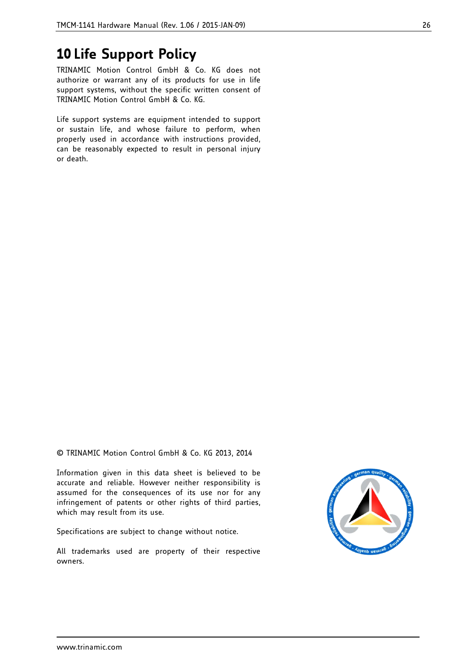## **10 Life Support Policy**

TRINAMIC Motion Control GmbH & Co. KG does not authorize or warrant any of its products for use in life support systems, without the specific written consent of TRINAMIC Motion Control GmbH & Co. KG.

Life support systems are equipment intended to support or sustain life, and whose failure to perform, when properly used in accordance with instructions provided, can be reasonably expected to result in personal injury or death.

© TRINAMIC Motion Control GmbH & Co. KG 2013, 2014

Information given in this data sheet is believed to be accurate and reliable. However neither responsibility is assumed for the consequences of its use nor for any infringement of patents or other rights of third parties, which may result from its use.

Specifications are subject to change without notice.

All trademarks used are property of their respective owners.

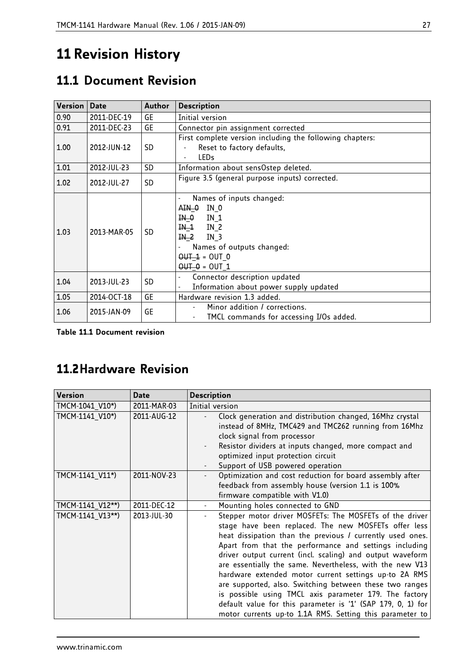## **11 Revision History**

## **11.1 Document Revision**

| Version   Date |             | <b>Author</b> | <b>Description</b>                                                                                                                                                        |
|----------------|-------------|---------------|---------------------------------------------------------------------------------------------------------------------------------------------------------------------------|
| 0.90           | 2011-DEC-19 | GE            | Initial version                                                                                                                                                           |
| 0.91           | 2011-DEC-23 | GE            | Connector pin assignment corrected                                                                                                                                        |
| 1.00           | 2012-JUN-12 | SD.           | First complete version including the following chapters:<br>Reset to factory defaults,<br><b>LEDs</b>                                                                     |
| 1.01           | 2012-JUL-23 | <b>SD</b>     | Information about sensOstep deleted.                                                                                                                                      |
| 1.02           | 2012-JUL-27 | <b>SD</b>     | Figure 3.5 (general purpose inputs) corrected.                                                                                                                            |
| 1.03           | 2013-MAR-05 | <b>SD</b>     | Names of inputs changed:<br>AIN 0<br>IN 0<br>IN 0<br>IN 1<br>$IN-1$<br>IN 2<br><u>IN 2</u><br>$IN_3$<br>Names of outputs changed:<br>$OUT 1 = OUT 0$<br>$OUT - 0 = OUT 1$ |
| 1.04           | 2013-JUL-23 | SD.           | Connector description updated<br>Information about power supply updated                                                                                                   |
| 1.05           | 2014-OCT-18 | <b>GE</b>     | Hardware revision 1.3 added.                                                                                                                                              |
| 1.06           | 2015-JAN-09 | GE            | Minor addition / corrections.<br>TMCL commands for accessing I/Os added.                                                                                                  |

**Table 11.1 Document revision**

## **11.2Hardware Revision**

| <b>Version</b>   | <b>Date</b> | <b>Description</b>                                                                                                                                                                                                                                                                                                                                                                                                                                                                                                                                                                                                                                                       |
|------------------|-------------|--------------------------------------------------------------------------------------------------------------------------------------------------------------------------------------------------------------------------------------------------------------------------------------------------------------------------------------------------------------------------------------------------------------------------------------------------------------------------------------------------------------------------------------------------------------------------------------------------------------------------------------------------------------------------|
| TMCM-1041 V10*)  | 2011-MAR-03 | Initial version                                                                                                                                                                                                                                                                                                                                                                                                                                                                                                                                                                                                                                                          |
| TMCM-1141 V10*)  | 2011-AUG-12 | Clock generation and distribution changed, 16Mhz crystal<br>instead of 8MHz, TMC429 and TMC262 running from 16Mhz<br>clock signal from processor<br>Resistor dividers at inputs changed, more compact and<br>optimized input protection circuit<br>Support of USB powered operation                                                                                                                                                                                                                                                                                                                                                                                      |
| TMCM-1141_V11*)  | 2011-NOV-23 | Optimization and cost reduction for board assembly after<br>feedback from assembly house (version 1.1 is 100%<br>firmware compatible with V1.0)                                                                                                                                                                                                                                                                                                                                                                                                                                                                                                                          |
| TMCM-1141 V12**) | 2011-DEC-12 | Mounting holes connected to GND                                                                                                                                                                                                                                                                                                                                                                                                                                                                                                                                                                                                                                          |
| TMCM-1141_V13**) | 2013-JUL-30 | Stepper motor driver MOSFETs: The MOSFETs of the driver<br>stage have been replaced. The new MOSFETs offer less<br>heat dissipation than the previous / currently used ones.<br>Apart from that the performance and settings including<br>driver output current (incl. scaling) and output waveform<br>are essentially the same. Nevertheless, with the new V13<br>hardware extended motor current settings up-to 2A RMS<br>are supported, also. Switching between these two ranges<br>is possible using TMCL axis parameter 179. The factory<br>default value for this parameter is '1' (SAP 179, 0, 1) for<br>motor currents up-to 1.1A RMS. Setting this parameter to |